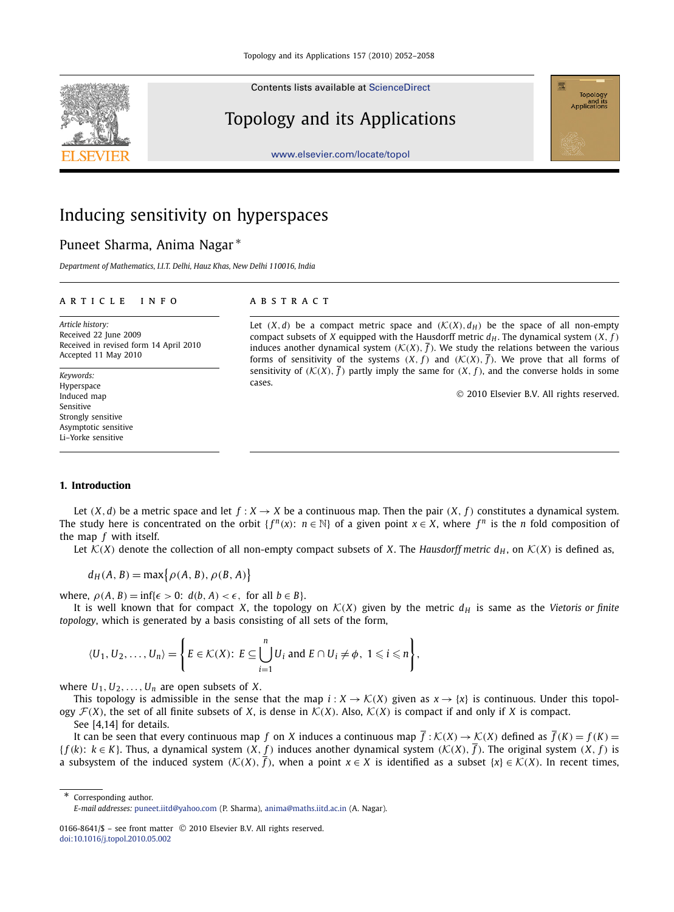Contents lists available at [ScienceDirect](http://www.ScienceDirect.com/)

# Topology and its Applications



[www.elsevier.com/locate/topol](http://www.elsevier.com/locate/topol)

# Inducing sensitivity on hyperspaces

# Puneet Sharma, Anima Nagar <sup>∗</sup>

*Department of Mathematics, I.I.T. Delhi, Hauz Khas, New Delhi 110016, India*

## article info abstract

*Article history:* Received 22 June 2009 Received in revised form 14 April 2010 Accepted 11 May 2010

*Keywords:* Hyperspace Induced map Sensitive Strongly sensitive Asymptotic sensitive Li–Yorke sensitive

Let  $(X, d)$  be a compact metric space and  $(\mathcal{K}(X), d_H)$  be the space of all non-empty compact subsets of *X* equipped with the Hausdorff metric  $d_H$ . The dynamical system  $(X, f)$ induces another dynamical system  $(K(X), \overline{f})$ . We study the relations between the various forms of sensitivity of the systems  $(X, f)$  and  $(\mathcal{K}(X), \overline{f})$ . We prove that all forms of sensitivity of  $(K(X), \overline{f})$  partly imply the same for  $(X, f)$ , and the converse holds in some cases.

2010 Elsevier B.V. All rights reserved.

# **1. Introduction**

Let  $(X, d)$  be a metric space and let  $f : X \to X$  be a continuous map. Then the pair  $(X, f)$  constitutes a dynamical system. The study here is concentrated on the orbit  $\{f^n(x): n \in \mathbb{N}\}$  of a given point  $x \in X$ , where  $f^n$  is the *n* fold composition of the map *f* with itself.

Let  $K(X)$  denote the collection of all non-empty compact subsets of *X*. The *Hausdorff metric d<sub>H</sub>*, on  $K(X)$  is defined as,

$$
d_H(A, B) = \max\{\rho(A, B), \rho(B, A)\}\
$$

where,  $\rho(A, B) = \inf \{ \epsilon > 0: d(b, A) < \epsilon$ , for all  $b \in B \}$ .

It is well known that for compact *X*, the topology on  $K(X)$  given by the metric  $d_H$  is same as the *Vietoris or finite topology*, which is generated by a basis consisting of all sets of the form,

$$
\langle U_1, U_2, \ldots, U_n \rangle = \left\{ E \in \mathcal{K}(X): E \subseteq \bigcup_{i=1}^n U_i \text{ and } E \cap U_i \neq \phi, 1 \leqslant i \leqslant n \right\},\
$$

where  $U_1, U_2, \ldots, U_n$  are open subsets of *X*.

This topology is admissible in the sense that the map  $i: X \to \mathcal{K}(X)$  given as  $x \to \{x\}$  is continuous. Under this topology  $\mathcal{F}(X)$ , the set of all finite subsets of *X*, is dense in  $\mathcal{K}(X)$ . Also,  $\mathcal{K}(X)$  is compact if and only if *X* is compact.

See [4,14] for details.

It can be seen that every continuous map *f* on *X* induces a continuous map  $\overline{f}$ :  $K(X) \rightarrow K(X)$  defined as  $\overline{f}(K) = f(K)$ {*f* (*k*): *k* ∈ *K*}. Thus, a dynamical system (*X*, *f* ) induces another dynamical system (K(*X*), *f* ). The original system (*X*, *f* ) is a subsystem of the induced system  $(K(X), \overline{f})$ , when a point  $x \in X$  is identified as a subset  $\{x\} \in K(X)$ . In recent times,

Corresponding author. *E-mail addresses:* [puneet.iitd@yahoo.com](mailto:puneet.iitd@yahoo.com) (P. Sharma), [anima@maths.iitd.ac.in](mailto:anima@maths.iitd.ac.in) (A. Nagar).

<sup>0166-8641/\$ -</sup> see front matter © 2010 Elsevier B.V. All rights reserved. [doi:10.1016/j.topol.2010.05.002](http://dx.doi.org/10.1016/j.topol.2010.05.002)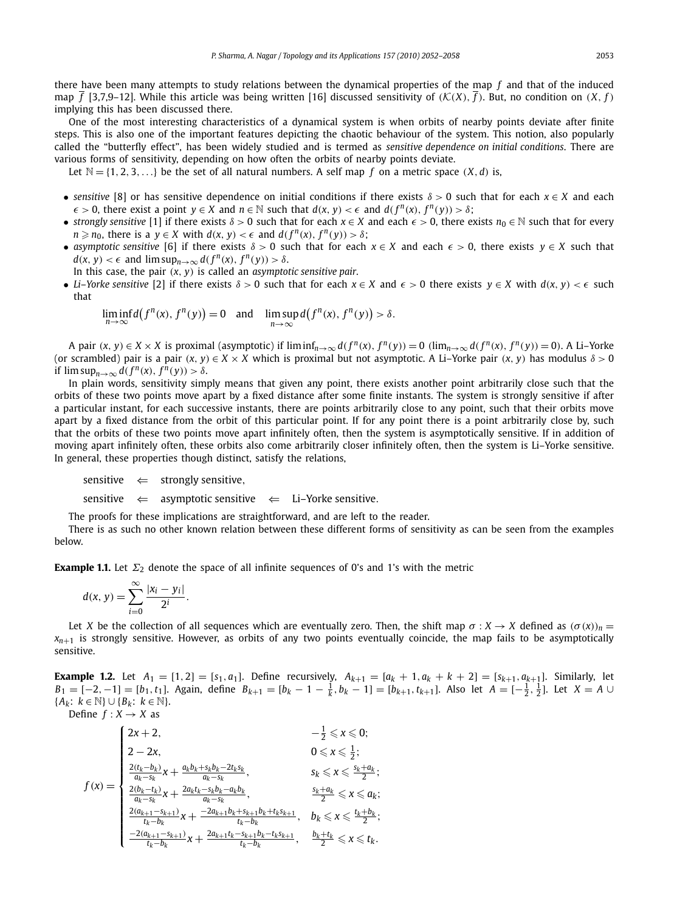there have been many attempts to study relations between the dynamical properties of the map *f* and that of the induced map  $\overline{f}$  [3,7,9–12]. While this article was being written [16] discussed sensitivity of  $(K(X), \overline{f})$ . But, no condition on  $(X, f)$ implying this has been discussed there.

One of the most interesting characteristics of a dynamical system is when orbits of nearby points deviate after finite steps. This is also one of the important features depicting the chaotic behaviour of the system. This notion, also popularly called the "butterfly effect", has been widely studied and is termed as *sensitive dependence on initial conditions*. There are various forms of sensitivity, depending on how often the orbits of nearby points deviate.

Let  $\mathbb{N} = \{1, 2, 3, \ldots\}$  be the set of all natural numbers. A self map *f* on a metric space  $(X, d)$  is,

- *sensitive* [8] or has sensitive dependence on initial conditions if there exists  $\delta > 0$  such that for each  $x \in X$  and each  $\epsilon$  > 0, there exist a point *y* ∈ *X* and *n* ∈ *N* such that *d*(*x*, *y*) <  $\epsilon$  and *d*(*f*<sup>*n*</sup>(*x*), *f*<sup>*n*</sup>(*y*)) >  $\delta$ ;
- *strongly sensitive* [1] if there exists  $\delta > 0$  such that for each  $x \in X$  and each  $\epsilon > 0$ , there exists  $n_0 \in \mathbb{N}$  such that for every *n*  $\geq$  *n*<sub>0</sub>, there is a *y*  $\in$  *X* with *d*(*x*, *y*) <  $\epsilon$  and *d*(*f*<sup>*n*</sup>(*x*), *f*<sup>*n*</sup>(*y*)) >  $\delta$ ;
- *asymptotic sensitive* [6] if there exists  $\delta > 0$  such that for each  $x \in X$  and each  $\epsilon > 0$ , there exists  $y \in X$  such that  $d(x, y) < \epsilon$  and  $\limsup_{n \to \infty} d(f^n(x), f^n(y)) > \delta$ .

In this case, the pair (*x*, *y*) is called an *asymptotic sensitive pair*.

• *Li–Yorke sensitive* [2] if there exists  $\delta > 0$  such that for each  $x \in X$  and  $\epsilon > 0$  there exists  $y \in X$  with  $d(x, y) < \epsilon$  such that

$$
\liminf_{n\to\infty}d(f^n(x),f^n(y))=0\quad\text{and}\quad\limsup_{n\to\infty}d(f^n(x),f^n(y))>\delta.
$$

A pair  $(x, y) \in X \times X$  is proximal (asymptotic) if  $\liminf_{n\to\infty} d(f^n(x), f^n(y)) = 0$   $(\lim_{n\to\infty} d(f^n(x), f^n(y)) = 0)$ . A Li-Yorke (or scrambled) pair is a pair  $(x, y) \in X \times X$  which is proximal but not asymptotic. A Li–Yorke pair  $(x, y)$  has modulus  $\delta > 0$ if  $\limsup_{n\to\infty} d(f^n(x), f^n(y)) > \delta.$ 

In plain words, sensitivity simply means that given any point, there exists another point arbitrarily close such that the orbits of these two points move apart by a fixed distance after some finite instants. The system is strongly sensitive if after a particular instant, for each successive instants, there are points arbitrarily close to any point, such that their orbits move apart by a fixed distance from the orbit of this particular point. If for any point there is a point arbitrarily close by, such that the orbits of these two points move apart infinitely often, then the system is asymptotically sensitive. If in addition of moving apart infinitely often, these orbits also come arbitrarily closer infinitely often, then the system is Li–Yorke sensitive. In general, these properties though distinct, satisfy the relations,

sensitive  $\Leftarrow$  strongly sensitive,

sensitive  $\Leftarrow$  asymptotic sensitive  $\Leftarrow$  Li–Yorke sensitive.

The proofs for these implications are straightforward, and are left to the reader.

There is as such no other known relation between these different forms of sensitivity as can be seen from the examples below.

**Example 1.1.** Let  $\Sigma_2$  denote the space of all infinite sequences of 0's and 1's with the metric

$$
d(x, y) = \sum_{i=0}^{\infty} \frac{|x_i - y_i|}{2^i}.
$$

Let *X* be the collection of all sequences which are eventually zero. Then, the shift map  $\sigma : X \to X$  defined as  $(\sigma(x))_n =$  $x_{n+1}$  is strongly sensitive. However, as orbits of any two points eventually coincide, the map fails to be asymptotically sensitive.

**Example 1.2.** Let  $A_1 = [1, 2] = [s_1, a_1]$ . Define recursively,  $A_{k+1} = [a_k + 1, a_k + k + 2] = [s_{k+1}, a_{k+1}]$ . Similarly, let  $B_1 = [-2, -1] = [b_1, t_1]$ . Again, define  $B_{k+1} = [b_k - 1 - \frac{1}{k}, b_k - 1] = [b_{k+1}, t_{k+1}]$ . Also let  $A = [-\frac{1}{2}, \frac{1}{2}]$ . Let  $X = A \cup$ {*Ak*: *<sup>k</sup>* ∈ N}∪{*Bk*: *<sup>k</sup>* ∈ N}. Define  $f: X \rightarrow X$  as

$$
f(x) = \begin{cases} 2x + 2, & -\frac{1}{2} \leq x \leq 0; \\ 2 - 2x, & 0 \leq x \leq \frac{1}{2}; \\ \frac{2(t_k - b_k)}{a_k - s_k} x + \frac{a_k b_k + s_k b_k - 2t_k s_k}{a_k - s_k}, & s_k \leq x \leq \frac{s_k + a_k}{2}; \\ \frac{2(b_k - t_k)}{a_k - s_k} x + \frac{2a_k t_k - s_k b_k - a_k b_k}{a_k - s_k}, & \frac{s_k + a_k}{2} \leq x \leq a_k; \\ \frac{2(a_{k+1} - s_{k+1})}{t_k - b_k} x + \frac{-2a_{k+1} b_k + s_{k+1} b_k + t_k s_{k+1}}{t_k - b_k}, & b_k \leq x \leq \frac{t_k + b_k}{2}; \\ \frac{-2(a_{k+1} - s_{k+1})}{t_k - b_k} x + \frac{2a_{k+1} t_k - s_{k+1} b_k - t_k s_{k+1}}{t_k - b_k}, & \frac{b_k + t_k}{2} \leq x \leq t_k. \end{cases}
$$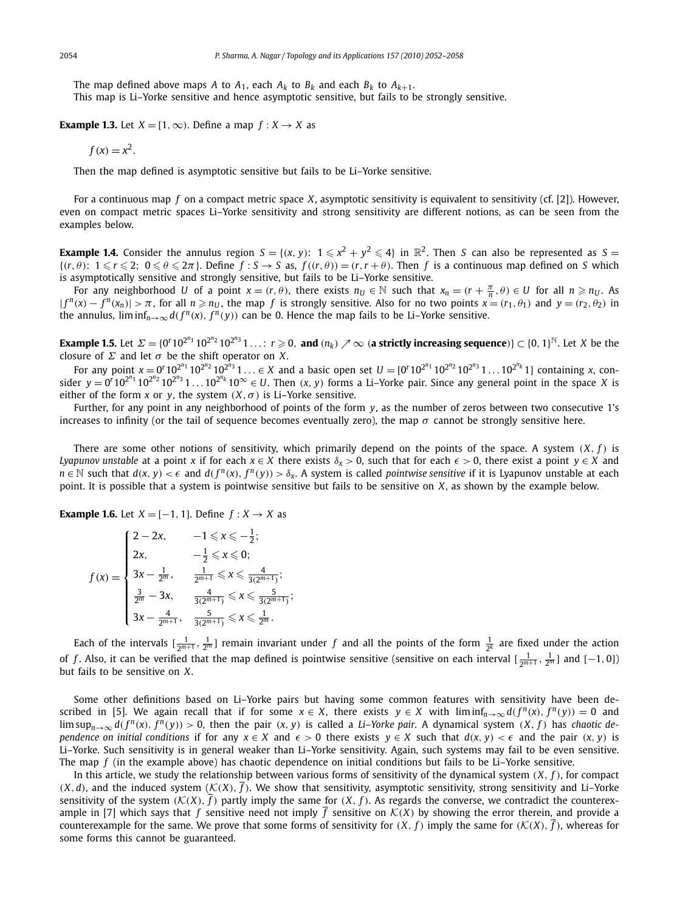The map defined above maps *A* to  $A_1$ , each  $A_k$  to  $B_k$  and each  $B_k$  to  $A_{k+1}$ . This map is Li–Yorke sensitive and hence asymptotic sensitive, but fails to be strongly sensitive.

**Example 1.3.** Let  $X = \{1, \infty\}$ . Define a map  $f : X \rightarrow X$  as

$$
f(x) = x^2.
$$

Then the map defined is asymptotic sensitive but fails to be Li–Yorke sensitive.

For a continuous map *f* on a compact metric space *X*, asymptotic sensitivity is equivalent to sensitivity (cf. [2]). However, even on compact metric spaces Li–Yorke sensitivity and strong sensitivity are different notions, as can be seen from the examples below.

**Example 1.4.** Consider the annulus region  $S = \{(x, y): 1 \le x^2 + y^2 \le 4\}$  in  $\mathbb{R}^2$ . Then *S* can also be represented as *S* =  $\{(r,\theta): 1 \leqslant r \leqslant 2; 0 \leqslant \theta \leqslant 2\pi\}$ . Define  $f : S \to S$  as,  $f((r,\theta)) = (r, r + \theta)$ . Then  $f$  is a continuous map defined on *S* which is asymptotically sensitive and strongly sensitive, but fails to be Li–Yorke sensitive.

For any neighborhood *U* of a point  $x = (r, \theta)$ , there exists  $n_U \in \mathbb{N}$  such that  $x_n = (r + \frac{\pi}{n}, \theta) \in U$  for all  $n \ge n_U$ . As  $|f^n(x) - f^n(x_n)| > \pi$ , for all  $n \ge n_U$ , the map f is strongly sensitive. Also for no two points  $x = (r_1, \theta_1)$  and  $y = (r_2, \theta_2)$  in the annulus,  $\liminf_{n\to\infty} d(f^n(x), f^n(y))$  can be 0. Hence the map fails to be Li–Yorke sensitive.

**Example 1.5.** Let  $\Sigma = \{0^r 10^{2^{n_1}} 10^{2^{n_2}} 10^{2^{n_3}} 1 \ldots : r \ge 0$ , and  $(n_k) \nearrow \infty$  (a strictly increasing sequence)}  $\subset \{0, 1\}^{\mathbb{N}}$ . Let *X* be the closure of  $\Sigma$  and let  $\sigma$  be the shift operator on *X*.

For any point  $x = 0^r 10^{2^{n_1}} 10^{2^{n_2}} 10^{2^{n_3}} 1... \in X$  and a basic open set  $U = [0^r 10^{2^{n_1}} 10^{2^{n_2}} 10^{2^{n_3}} 1... 10^{2^{n_k}} 1]$  containing x, consider  $y = 0^r 10^{2^{n_1}} 10^{2^{n_2}} 10^{2^{n_3}} 1 \ldots 10^{2^{n_k}} 10^{\infty} \in U$ . Then  $(x, y)$  forms a Li–Yorke pair. Since any general point in the space *X* is either of the form *x* or *y*, the system  $(X, \sigma)$  is Li–Yorke sensitive.

Further, for any point in any neighborhood of points of the form *y*, as the number of zeros between two consecutive 1's increases to infinity (or the tail of sequence becomes eventually zero), the map  $\sigma$  cannot be strongly sensitive here.

There are some other notions of sensitivity, which primarily depend on the points of the space. A system  $(X, f)$  is *Lyapunov unstable* at a point *x* if for each  $x \in X$  there exists  $\delta_x > 0$ , such that for each  $\epsilon > 0$ , there exist a point  $y \in X$  and  $n \in \mathbb{N}$  such that  $d(x, y) < \epsilon$  and  $d(f^n(x), f^n(y)) > \delta_x$ . A system is called *pointwise sensitive* if it is Lyapunov unstable at each point. It is possible that a system is pointwise sensitive but fails to be sensitive on *X*, as shown by the example below.

**Example 1.6.** Let  $X = [-1, 1]$ . Define  $f : X \rightarrow X$  as

$$
f(x) = \begin{cases} 2 - 2x, & -1 \leq x \leq -\frac{1}{2}; \\ 2x, & -\frac{1}{2} \leq x \leq 0; \\ 3x - \frac{1}{2^m}, & \frac{1}{2^{m+1}} \leq x \leq \frac{4}{3(2^{m+1})}; \\ \frac{3}{2^m} - 3x, & \frac{4}{3(2^{m+1})} \leq x \leq \frac{5}{3(2^{m+1})}; \\ 3x - \frac{4}{2^{m+1}}, & \frac{5}{3(2^{m+1})} \leq x \leq \frac{1}{2^m}. \end{cases}
$$

Each of the intervals  $[\frac{1}{2^{m+1}},\frac{1}{2^m}]$  remain invariant under  $f$  and all the points of the form  $\frac{1}{2^k}$  are fixed under the action of *f*. Also, it can be verified that the map defined is pointwise sensitive (sensitive on each interval  $[\frac{1}{2^{m+1}}, \frac{1}{2^m}]$  and  $[-1, 0]$ ) but fails to be sensitive on *X*.

Some other definitions based on Li–Yorke pairs but having some common features with sensitivity have been described in [5]. We again recall that if for some  $x \in X$ , there exists  $y \in X$  with  $\liminf_{n\to\infty} d(f^n(x), f^n(y)) = 0$  and  $\limsup_{n\to\infty} d(f^n(x), f^n(y)) > 0$ , then the pair  $(x, y)$  is called a Li-Yorke pair. A dynamical system  $(X, f)$  has chaotic de*pendence on initial conditions* if for any  $x \in X$  and  $\epsilon > 0$  there exists  $y \in X$  such that  $d(x, y) < \epsilon$  and the pair  $(x, y)$  is Li–Yorke. Such sensitivity is in general weaker than Li–Yorke sensitivity. Again, such systems may fail to be even sensitive. The map *f* (in the example above) has chaotic dependence on initial conditions but fails to be Li–Yorke sensitive.

In this article, we study the relationship between various forms of sensitivity of the dynamical system  $(X, f)$ , for compact  $(X, d)$ , and the induced system  $(\mathcal{K}(X), \overline{f})$ . We show that sensitivity, asymptotic sensitivity, strong sensitivity and Li–Yorke sensitivity of the system  $(K(X), \overline{f})$  partly imply the same for  $(X, f)$ . As regards the converse, we contradict the counterexample in [7] which says that *f* sensitive need not imply  $\overline{f}$  sensitive on  $\mathcal{K}(X)$  by showing the error therein, and provide a counterexample for the same. We prove that some forms of sensitivity for  $(X, f)$  imply the same for  $(\mathcal{K}(X), \overline{f})$ , whereas for some forms this cannot be guaranteed.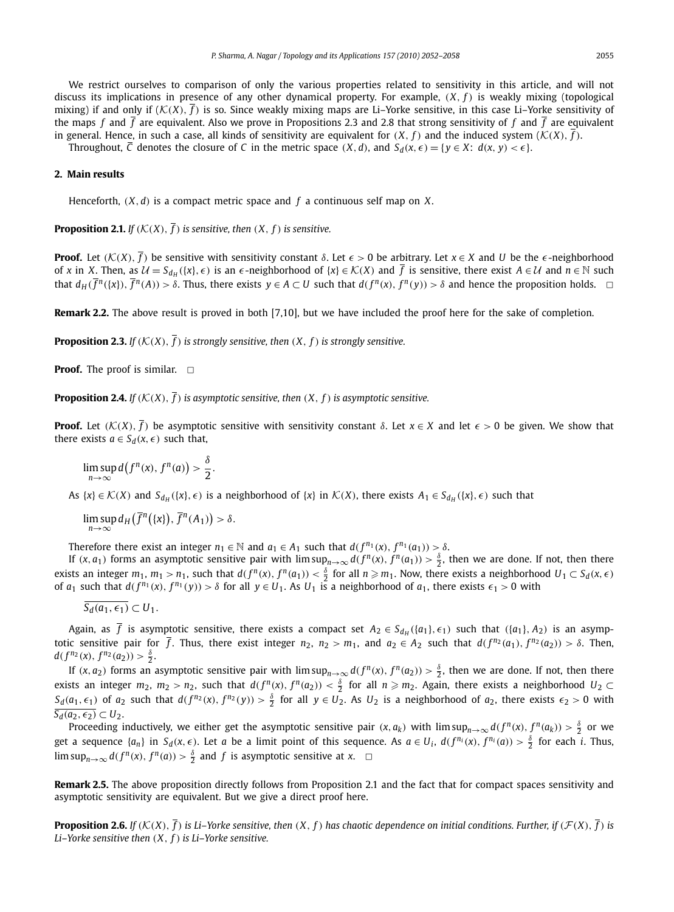We restrict ourselves to comparison of only the various properties related to sensitivity in this article, and will not discuss its implications in presence of any other dynamical property. For example, (*X*, *f* ) is weakly mixing (topological mixing) if and only if  $(K(X), \bar{f})$  is so. Since weakly mixing maps are Li-Yorke sensitive, in this case Li-Yorke sensitivity of the maps  $f$  and  $\overline{f}$  are equivalent. Also we prove in Propositions 2.3 and 2.8 that strong sensitivity of  $f$  and  $\overline{f}$  are equivalent in general. Hence, in such a case, all kinds of sensitivity are equivalent for  $(X, f)$  and the induced system  $(K(X), \overline{f})$ .

Throughout,  $\overline{C}$  denotes the closure of  $C$  in the metric space  $(X, d)$ , and  $S_d(x, \epsilon) = \{y \in X: d(x, y) < \epsilon\}.$ 

## **2. Main results**

Henceforth, (*X*,*d*) is a compact metric space and *f* a continuous self map on *X*.

**Proposition 2.1.** *If*  $(K(X), \overline{f})$  *is sensitive, then*  $(X, f)$  *is sensitive.* 

**Proof.** Let  $(K(X), \overline{f})$  be sensitive with sensitivity constant  $\delta$ . Let  $\epsilon > 0$  be arbitrary. Let  $x \in X$  and *U* be the  $\epsilon$ -neighborhood of *x* in *X*. Then, as  $\mathcal{U} = S_{d_H}(\{x\}, \epsilon)$  is an  $\epsilon$ -neighborhood of  $\{x\} \in \mathcal{K}(X)$  and  $\overline{f}$  is sensitive, there exist  $A \in \mathcal{U}$  and  $n \in \mathbb{N}$  such that  $d_H(\overline{f}^n(\{x\}), \overline{f}^n(A)) > \delta$ . Thus, there exists  $y \in A \subset U$  such that  $d(f^n(x), f^n(y)) > \delta$  and hence the proposition holds.  $\Box$ 

**Remark 2.2.** The above result is proved in both [7,10], but we have included the proof here for the sake of completion.

**Proposition 2.3.** *If*  $(K(X), \overline{f})$  *is strongly sensitive, then*  $(X, f)$  *is strongly sensitive.* 

**Proof.** The proof is similar.  $\Box$ 

**Proposition 2.4.** *If*  $(K(X), \overline{f})$  *is asymptotic sensitive, then*  $(X, f)$  *is asymptotic sensitive.* 

**Proof.** Let  $(K(X), \overline{f})$  be asymptotic sensitive with sensitivity constant  $\delta$ . Let  $x \in X$  and let  $\epsilon > 0$  be given. We show that there exists  $a \in S_d(x, \epsilon)$  such that,

$$
\limsup_{n\to\infty}d(f^n(x),f^n(a))>\frac{\delta}{2}.
$$

As  $\{x\} \in \mathcal{K}(X)$  and  $S_{d_H}(\{x\}, \epsilon)$  is a neighborhood of  $\{x\}$  in  $\mathcal{K}(X)$ , there exists  $A_1 \in S_{d_H}(\{x\}, \epsilon)$  such that

$$
\limsup_{n\to\infty} d_H(\overline{f}^n(\{x\}), \overline{f}^n(A_1)) > \delta.
$$

Therefore there exist an integer  $n_1 \in \mathbb{N}$  and  $a_1 \in A_1$  such that  $d(f^{n_1}(x), f^{n_1}(a_1)) > \delta$ .

If  $(x, a_1)$  forms an asymptotic sensitive pair with  $\limsup_{n\to\infty} d(f^n(x), f^n(a_1)) > \frac{\delta}{2}$ , then we are done. If not, then there exists an integer  $m_1$ ,  $m_1 > n_1$ , such that  $d(f^n(x), f^n(a_1)) < \frac{\delta}{2}$  for all  $n \geq m_1$ . Now, there exists a neighborhood  $U_1 \subset S_d(x, \epsilon)$ of  $a_1$  such that  $d(f^{n_1}(x), f^{n_1}(y)) > \delta$  for all  $y \in U_1$ . As  $U_1$  is a neighborhood of  $a_1$ , there exists  $\epsilon_1 > 0$  with

$$
\overline{S_d(a_1,\epsilon_1)}\subset U_1.
$$

Again, as *f* is asymptotic sensitive, there exists a compact set  $A_2 \in S_{d_H}(\{a_1\}, \epsilon_1)$  such that  $(\{a_1\}, A_2)$  is an asymptotic sensitive pair for  $\overline{f}$ . Thus, there exist integer  $n_2$ ,  $n_2 > m_1$ , and  $a_2 \in A_2$  such that  $d(f^{n_2}(a_1), f^{n_2}(a_2)) > \delta$ . Then,  $d(f^{n_2}(x), f^{n_2}(a_2)) > \frac{\delta}{2}.$ 

If  $(x, a_2)$  forms an asymptotic sensitive pair with  $\limsup_{n\to\infty} d(f^n(x), f^n(a_2)) > \frac{\delta}{2}$ , then we are done. If not, then there exists an integer  $m_2$ ,  $m_2 > n_2$ , such that  $d(f^n(x), f^n(a_2)) < \frac{\delta}{2}$  for all  $n \geq m_2$ . Again, there exists a neighborhood  $U_2 \subset$  $S_d(a_1,\epsilon_1)$  of  $a_2$  such that  $d(f^{n_2}(x),f^{n_2}(y))>\frac{\delta}{2}$  for all  $y\in U_2$ . As  $U_2$  is a neighborhood of  $a_2$ , there exists  $\epsilon_2>0$  with  $\overline{S_d(a_2, \epsilon_2)} \subset U_2$ .

Proceeding inductively, we either get the asymptotic sensitive pair  $(x, a_k)$  with  $\limsup_{n\to\infty} d(f^n(x), f^n(a_k)) > \frac{\delta}{2}$  or we get a sequence  $\{a_n\}$  in  $S_d(x,\epsilon)$ . Let a be a limit point of this sequence. As  $a \in U_i$ ,  $d(f^{n_i}(x), f^{n_i}(a)) > \frac{\delta}{2}$  for each i. Thus,  $\limsup_{n\to\infty} d(f^n(x), f^n(a)) > \frac{\delta}{2}$  and *f* is asymptotic sensitive at *x*.  $\Box$ 

**Remark 2.5.** The above proposition directly follows from Proposition 2.1 and the fact that for compact spaces sensitivity and asymptotic sensitivity are equivalent. But we give a direct proof here.

**Proposition 2.6.** *If* ( $K(X)$ ,  $\overline{f}$ ) is Li–Yorke sensitive, then (X, f) has chaotic dependence on initial conditions. Further, if ( $\mathcal{F}(X)$ ,  $\overline{f}$ ) is *Li–Yorke sensitive then* (*X*, *f* ) *is Li–Yorke sensitive.*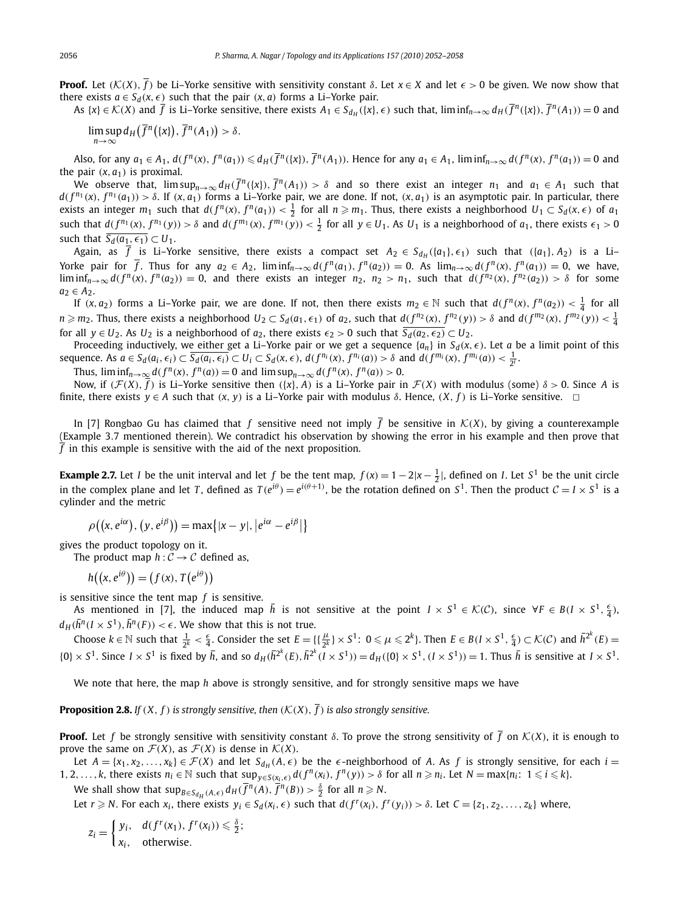**Proof.** Let  $(K(X), \overline{f})$  be Li–Yorke sensitive with sensitivity constant  $\delta$ . Let  $x \in X$  and let  $\epsilon > 0$  be given. We now show that there exists  $a \in S_d(x, \epsilon)$  such that the pair  $(x, a)$  forms a Li–Yorke pair.

As  $\{x\} \in \mathcal{K}(X)$  and  $\overline{f}$  is Li-Yorke sensitive, there exists  $A_1 \in S_{d_H}(\{x\}, \epsilon)$  such that,  $\liminf_{n \to \infty} d_H(\overline{f}^n(\{x\}), \overline{f}^n(A_1)) = 0$  and

 $\limsup_{n\to\infty} d_H(\overline{f}^n(\{x\}), \overline{f}^n(A_1)) > \delta.$ 

Also, for any  $a_1 \in A_1$ ,  $d(f^n(x), f^n(a_1)) \leq d_H(\overline{f}^n(\{x\}), \overline{f}^n(A_1))$ . Hence for any  $a_1 \in A_1$ ,  $\liminf_{n\to\infty} d(f^n(x), f^n(a_1)) = 0$  and the pair  $(x, a_1)$  is proximal.

We observe that,  $\limsup_{n\to\infty} d_H(\overline{f}^n(\{x\}), \overline{f}^n(A_1)) > \delta$  and so there exist an integer  $n_1$  and  $a_1 \in A_1$  such that  $d(f^{n_1}(x), f^{n_1}(a_1)) > \delta$ . If  $(x, a_1)$  forms a Li–Yorke pair, we are done. If not,  $(x, a_1)$  is an asymptotic pair. In particular, there exists an integer  $m_1$  such that  $d(f^n(x), f^n(a_1)) < \frac{1}{2}$  for all  $n \geq m_1$ . Thus, there exists a neighborhood  $U_1 \subset S_d(x, \epsilon)$  of  $a_1$ such that  $d(f^{n_1}(x), f^{n_1}(y)) > \delta$  and  $d(f^{m_1}(x), f^{m_1}(y)) < \frac{1}{2}$  for all  $y \in U_1$ . As  $U_1$  is a neighborhood of  $a_1$ , there exists  $\epsilon_1 > 0$ such that  $\overline{S_d(a_1, \epsilon_1)} \subset U_1$ .

Again, as *f* is Li–Yorke sensitive, there exists a compact set  $A_2 \in S_{d_H}(\{a_1\}, \epsilon_1)$  such that  $(\{a_1\}, A_2)$  is a Li– Yorke pair for  $\overline{f}$ . Thus for any  $a_2 \in A_2$ ,  $\liminf_{n\to\infty} d(f^n(a_1), f^n(a_2)) = 0$ . As  $\lim_{n\to\infty} d(f^n(x), f^n(a_1)) = 0$ , we have,  $\liminf_{n\to\infty} d(f^n(x), f^n(a_2)) = 0$ , and there exists an integer  $n_2$ ,  $n_2 > n_1$ , such that  $d(f^{n_2}(x), f^{n_2}(a_2)) > \delta$  for some  $a_2 \in A_2$ .

If  $(x, a_2)$  forms a Li–Yorke pair, we are done. If not, then there exists  $m_2 \in \mathbb{N}$  such that  $d(f^n(x), f^n(a_2)) < \frac{1}{4}$  for all  $n \geq m_2$ . Thus, there exists a neighborhood  $U_2 \subset S_d(a_1, \epsilon_1)$  of  $a_2$ , such that  $d(f^{n_2}(x), f^{n_2}(y)) > \delta$  and  $d(f^{m_2}(x), f^{m_2}(y)) < \frac{1}{4}$ for all  $y \in U_2$ . As  $U_2$  is a neighborhood of  $a_2$ , there exists  $\epsilon_2 > 0$  such that  $\overline{S_d(a_2, \epsilon_2)} \subset U_2$ .

Proceeding inductively, we either get a Li–Yorke pair or we get a sequence  $\{a_n\}$  in  $S_d(x, \epsilon)$ . Let *a* be a limit point of this sequence. As  $a \in S_d(a_i, \epsilon_i) \subset \overline{S_d(a_i, \epsilon_i)} \subset U_i \subset S_d(x, \epsilon)$ ,  $d(f^{n_i}(x), f^{n_i}(a)) > \delta$  and  $d(f^{m_i}(x), f^{m_i}(a)) < \frac{1}{2^i}$ .

Thus,  $\liminf_{n\to\infty} d(f^n(x), f^n(a)) = 0$  and  $\limsup_{n\to\infty} d(f^n(x), f^n(a)) > 0$ .

Now, if  $(\mathcal{F}(X), \overline{f})$  is Li–Yorke sensitive then  $({x}, A)$  is a Li–Yorke pair in  $\mathcal{F}(X)$  with modulus (some)  $\delta > 0$ . Since *A* is finite, there exists  $y \in A$  such that  $(x, y)$  is a Li–Yorke pair with modulus  $\delta$ . Hence,  $(X, f)$  is Li–Yorke sensitive.  $\Box$ 

In [7] Rongbao Gu has claimed that *f* sensitive need not imply  $\overline{f}$  be sensitive in  $K(X)$ , by giving a counterexample (Example 3.7 mentioned therein). We contradict his observation by showing the error in his example and then prove that  $\overline{f}$  in this example is sensitive with the aid of the next proposition.

**Example 2.7.** Let *I* be the unit interval and let *f* be the tent map,  $f(x) = 1 - 2|x - \frac{1}{2}|$ , defined on *I*. Let *S*<sup>1</sup> be the unit circle in the complex plane and let *T*, defined as  $T(e^{i\theta}) = e^{i(\theta+1)}$ , be the rotation defined on  $S^1$ . Then the product  $C = I \times S^1$  is a cylinder and the metric

$$
\rho((x, e^{i\alpha}), (y, e^{i\beta})) = \max\{|x - y|, |e^{i\alpha} - e^{i\beta}|\}
$$

gives the product topology on it.

The product map  $h: \mathcal{C} \to \mathcal{C}$  defined as,

 $h((x, e^{i\theta})) = (f(x), T(e^{i\theta}))$ 

is sensitive since the tent map *f* is sensitive.

As mentioned in [7], the induced map  $\bar{h}$  is not sensitive at the point  $I \times S^1 \in \mathcal{K}(\mathcal{C})$ , since  $\forall F \in B(I \times S^1, \frac{\epsilon}{4})$ ,  $d_H(\bar{h}^n(I \times S^1), \bar{h}^n(F)) < \epsilon$ . We show that this is not true.

Choose  $k \in \mathbb{N}$  such that  $\frac{1}{2^k} < \frac{\epsilon}{4}$ . Consider the set  $E = \{ \{\frac{\mu}{2^k}\} \times S^1$ :  $0 \leq \mu \leq 2^k \}$ . Then  $E \in B(I \times S^1, \frac{\epsilon}{4}) \subset \mathcal{K}(\mathcal{C})$  and  $\overline{h}^{2^k}(E)$  $\{0\}\times S^1$ . Since  $I\times S^1$  is fixed by  $\bar{h}$ , and so  $d_H(\bar{h}^{2^k}(E), \bar{h}^{2^k}(I\times S^1)) = d_H(\{0\}\times S^1, (I\times S^1)) = 1$ . Thus  $\bar{h}$  is sensitive at  $I\times S^1$ .

We note that here, the map *h* above is strongly sensitive, and for strongly sensitive maps we have

**Proposition 2.8.** *If*  $(X, f)$  *is strongly sensitive, then*  $(K(X), \overline{f})$  *is also strongly sensitive.* 

**Proof.** Let *f* be strongly sensitive with sensitivity constant  $\delta$ . To prove the strong sensitivity of  $\overline{f}$  on  $\mathcal{K}(X)$ , it is enough to prove the same on  $\mathcal{F}(X)$ , as  $\mathcal{F}(X)$  is dense in  $\mathcal{K}(X)$ .

Let  $A = \{x_1, x_2, \ldots, x_k\} \in \mathcal{F}(X)$  and let  $S_{d_H}(A, \epsilon)$  be the  $\epsilon$ -neighborhood of *A*. As *f* is strongly sensitive, for each  $i =$ 1, 2, ..., k, there exists  $n_i \in \mathbb{N}$  such that  $\sup_{y \in S(x_i,\epsilon)} d(f^n(x_i), f^n(y)) > \delta$  for all  $n \ge n_i$ . Let  $N = \max\{n_i: 1 \le i \le k\}$ .

We shall show that  $\sup_{B \in S_{d_H}(A,\epsilon)} d_H(\overline{f}^n(A), \overline{f}^n(B)) > \frac{\delta}{2}$  for all  $n \geq N$ .

Let  $r \ge N$ . For each  $x_i$ , there exists  $y_i \in S_d(x_i, \epsilon)$  such that  $d(f^r(x_i), f^r(y_i)) > \delta$ . Let  $C = \{z_1, z_2, ..., z_k\}$  where,

$$
z_i = \begin{cases} y_i, & d(f^r(x_1), f^r(x_i)) \leq \frac{\delta}{2}; \\ x_i, & \text{otherwise.} \end{cases}
$$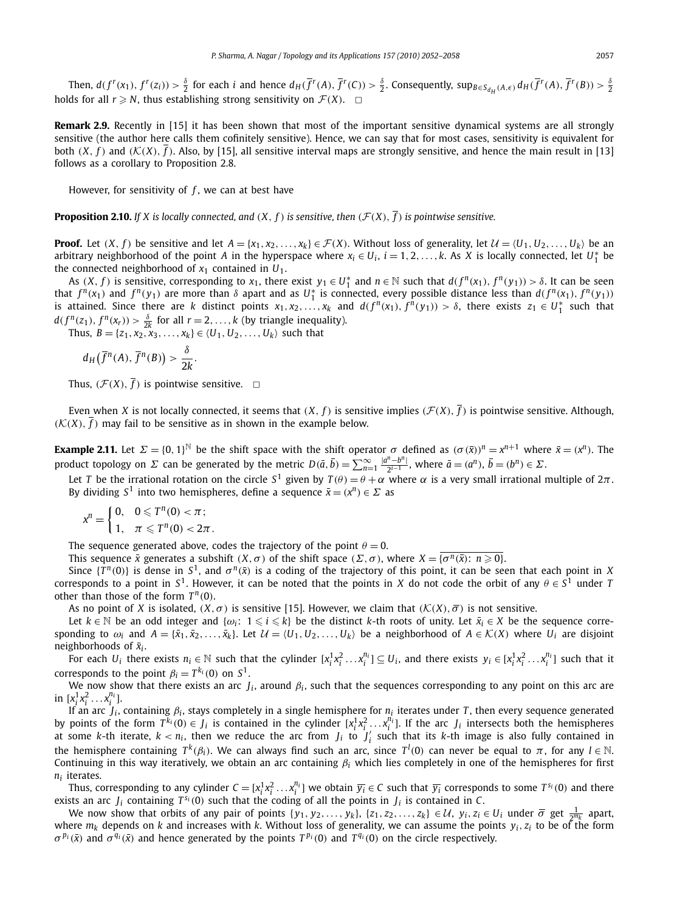Then,  $d(f^r(x_1), f^r(z_i)) > \frac{\delta}{2}$  for each *i* and hence  $d_H(\overline{f}^r(A), \overline{f}^r(C)) > \frac{\delta}{2}$ . Consequently,  $\sup_{B \in S_{d_H}(A, \epsilon)} d_H(\overline{f}^r(A), \overline{f}^r(B)) > \frac{\delta}{2}$ holds for all  $r \ge N$ , thus establishing strong sensitivity on  $\mathcal{F}(X)$ .  $\Box$ 

**Remark 2.9.** Recently in [15] it has been shown that most of the important sensitive dynamical systems are all strongly sensitive (the author here calls them cofinitely sensitive). Hence, we can say that for most cases, sensitivity is equivalent for both  $(X, f)$  and  $(\mathcal{K}(X), \overline{f})$ . Also, by [15], all sensitive interval maps are strongly sensitive, and hence the main result in [13] follows as a corollary to Proposition 2.8.

However, for sensitivity of *f* , we can at best have

**Proposition 2.10.** *If X is locally connected, and*  $(X, f)$  *is sensitive, then*  $(\mathcal{F}(X), \overline{f})$  *is pointwise sensitive.* 

**Proof.** Let  $(X, f)$  be sensitive and let  $A = \{x_1, x_2, ..., x_k\} \in \mathcal{F}(X)$ . Without loss of generality, let  $\mathcal{U} = \{U_1, U_2, ..., U_k\}$  be an arbitrary neighborhood of the point *A* in the hyperspace where  $x_i \in U_i$ ,  $i = 1, 2, ..., k$ . As *X* is locally connected, let  $U_1^*$  be the connected neighborhood of  $x_1$  contained in  $U_1$ .

As  $(X, f)$  is sensitive, corresponding to  $x_1$ , there exist  $y_1 \in U_1^*$  and  $n \in \mathbb{N}$  such that  $d(f^n(x_1), f^n(y_1)) > \delta$ . It can be seen that  $f^{n}(x_1)$  and  $f^{n}(y_1)$  are more than  $\delta$  apart and as  $U_1^*$  is connected, every possible distance less than  $d(f^{n}(x_1), f^{n}(y_1))$ is attained. Since there are *k* distinct points  $x_1, x_2,..., x_k$  and  $d(f^n(x_1), f^n(y_1)) > \delta$ , there exists  $z_1 \in U_1^*$  such that  $d(f^n(z_1), f^n(x_r)) > \frac{\delta}{2k}$  for all  $r = 2, ..., k$  (by triangle inequality).

Thus, *B* = {*z*<sub>1</sub>, *x*<sub>2</sub>,  $\overline{x}$ <sub>3</sub>, ..., *x*<sub>*k*</sub>} ∈ {*U*<sub>1</sub>, *U*<sub>2</sub>, ..., *U*<sub>*k*</sub>} such that

$$
d_H\big(\overline{f}^n(A),\overline{f}^n(B)\big)>\frac{\delta}{2k}.
$$

Thus,  $(\mathcal{F}(X), \overline{f})$  is pointwise sensitive.  $\Box$ 

Even when *X* is not locally connected, it seems that  $(X, f)$  is sensitive implies  $(\mathcal{F}(X), \overline{f})$  is pointwise sensitive. Although,  $(K(X), \overline{f})$  may fail to be sensitive as in shown in the example below.

**Example 2.11.** Let  $\Sigma = \{0, 1\}^{\mathbb{N}}$  be the shift space with the shift operator  $\sigma$  defined as  $(\sigma(\bar{x}))^n = x^{n+1}$  where  $\bar{x} = (x^n)$ . The product topology on  $\Sigma$  can be generated by the metric  $D(\bar{a}, \bar{b}) = \sum_{n=1}^{\infty} \frac{|a^n - b^n|}{2^{i-1}}$ , where  $\bar{a} = (a^n)$ ,  $\bar{b} = (b^n) \in \Sigma$ .

Let *T* be the irrational rotation on the circle S<sup>1</sup> given by  $T(\theta)=\theta+\alpha$  where  $\alpha$  is a very small irrational multiple of 2 $\pi$ . By dividing  $S^1$  into two hemispheres, define a sequence  $\bar{x} = (x^n) \in \Sigma$  as

$$
x^n = \begin{cases} 0, & 0 \leq T^n(0) < \pi \\ 1, & \pi \leq T^n(0) < 2\pi. \end{cases}
$$

The sequence generated above, codes the trajectory of the point  $\theta = 0$ .

This sequence  $\bar{x}$  generates a subshift  $(X, \sigma)$  of the shift space  $(\Sigma, \sigma)$ , where  $X = {\sigma^n(\bar{x}) : n \ge 0}$ .

Since  $\{T^n(0)\}$  is dense in  $S^1$ , and  $\sigma^n(\bar{x})$  is a coding of the trajectory of this point, it can be seen that each point in *X* corresponds to a point in  $S^1$ . However, it can be noted that the points in *X* do not code the orbit of any  $\theta \in S^1$  under *T* other than those of the form  $T^n(0)$ .

As no point of *X* is isolated,  $(X, \sigma)$  is sensitive [15]. However, we claim that  $(K(X), \overline{\sigma})$  is not sensitive.

Let  $k \in \mathbb{N}$  be an odd integer and  $\{\omega_i: 1 \leq i \leq k\}$  be the distinct *k*-th roots of unity. Let  $\bar{x}_i \in X$  be the sequence corresponding to  $\omega_i$  and  $A = \{\bar{x}_1, \bar{x}_2, \ldots, \bar{x}_k\}$ . Let  $\mathcal{U} = \langle U_1, U_2, \ldots, U_k \rangle$  be a neighborhood of  $A \in \mathcal{K}(X)$  where  $U_i$  are disjoint neighborhoods of *x<sup>i</sup>* .

For each  $U_i$  there exists  $n_i \in \mathbb{N}$  such that the cylinder  $[x_i^1x_i^2...x_i^{n_i}] \subseteq U_i$ , and there exists  $y_i \in [x_i^1x_i^2...x_i^{n_i}]$  such that it corresponds to the point  $\beta_i = T^{k_i}(0)$  on  $S^1$ .

We now show that there exists an arc  $J_i$ , around  $\beta_i$ , such that the sequences corresponding to any point on this arc are  $\inf [x_i^1 x_i^2 \dots x_i^{n_i}].$ 

If an arc *J<sub>i</sub>*, containing β<sub>i</sub>, stays completely in a single hemisphere for *n<sub>i</sub>* iterates under *T*, then every sequence generated by points of the form  $T^{k_i}(0) \in J_i$  is contained in the cylinder  $[x_i^1 x_i^2 \ldots x_i^{n_i}]$ . If the arc  $J_i$  intersects both the hemispheres at some *k*-th iterate,  $k < n_i$ , then we reduce the arc from  $J_i$  to  $J'_i$  such that its *k*-th image is also fully contained in the hemisphere containing  $T^k(\beta_i).$  We can always find such an arc, since  $T^l(0)$  can never be equal to  $\pi,$  for any  $l\in\mathbb{N}.$ Continuing in this way iteratively, we obtain an arc containing  $\beta_i$  which lies completely in one of the hemispheres for first *ni* iterates.

Thus, corresponding to any cylinder  $C=[x_i^1x_i^2\ldots x_i^{n_i}]$  we obtain  $\overline{y_i}\in C$  such that  $\overline{y_i}$  corresponds to some  $T^{s_i}(0)$  and there exists an arc  $J_i$  containing  $T^{s_i}(0)$  such that the coding of all the points in  $J_i$  is contained in C.

We now show that orbits of any pair of points  $\{y_1, y_2, \ldots, y_k\}$ ,  $\{z_1, z_2, \ldots, z_k\} \in \mathcal{U}$ ,  $y_i, z_i \in U_i$  under  $\overline{\sigma}$  get  $\frac{1}{2^{m_k}}$  apart, where  $m_k$  depends on *k* and increases with *k*. Without loss of generality, we can assume the points  $y_i$ ,  $z_i$  to be of the form *σ*<sup>*p*<sub>*i*</sub></sup>( $\bar{x}$ ) and *σ*<sup>*q*<sub>*i*</sub></sub>( $\bar{x}$ ) and hence generated by the points *T*<sup>*p*<sub>*i*</sub>(0) and *T*<sup>*q<sub>i</sub>*(0) on the circle respectively.</sup></sup></sup>